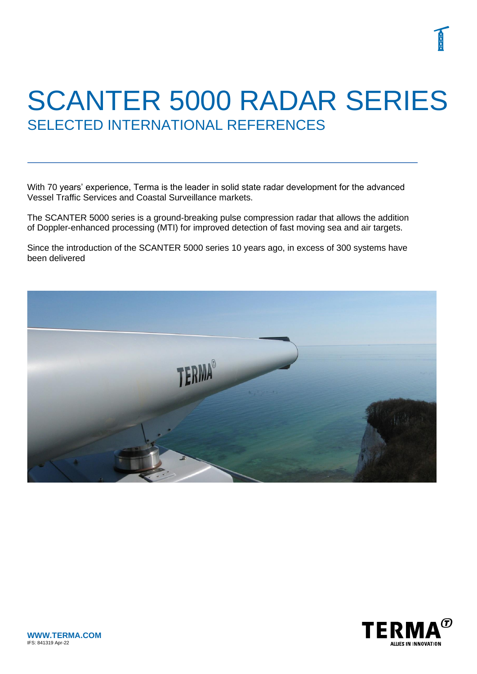# SCANTER 5000 RADAR SERIES SELECTED INTERNATIONAL REFERENCES

With 70 years' experience, Terma is the leader in solid state radar development for the advanced Vessel Traffic Services and Coastal Surveillance markets.

The SCANTER 5000 series is a ground-breaking pulse compression radar that allows the addition of Doppler-enhanced processing (MTI) for improved detection of fast moving sea and air targets.

Since the introduction of the SCANTER 5000 series 10 years ago, in excess of 300 systems have been delivered